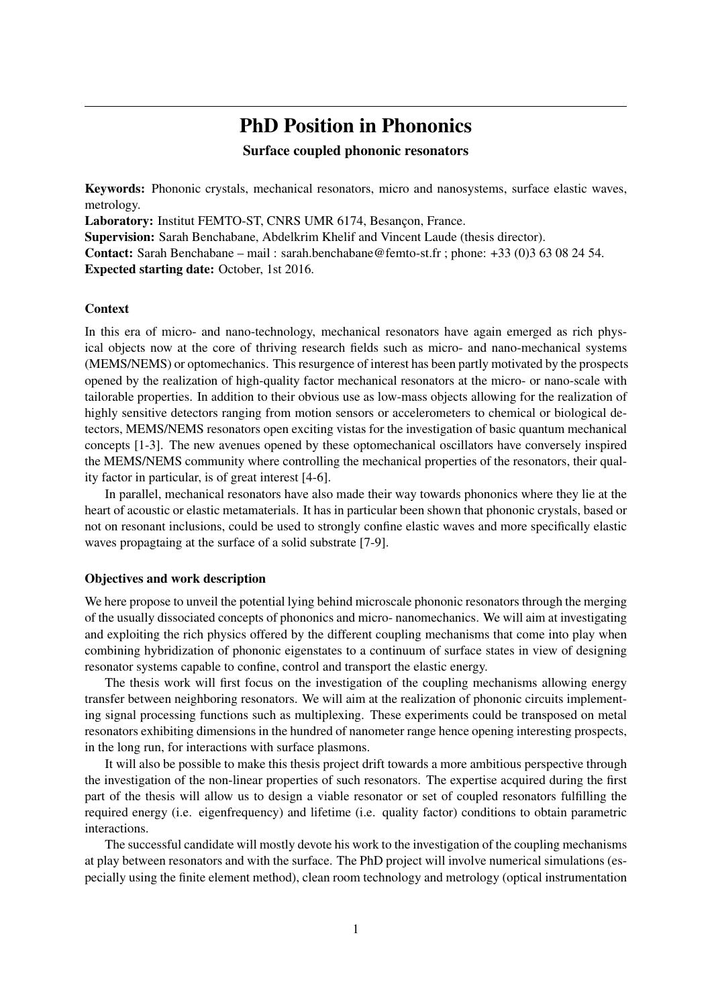# PhD Position in Phononics

# Surface coupled phononic resonators

Keywords: Phononic crystals, mechanical resonators, micro and nanosystems, surface elastic waves, metrology.

Laboratory: Institut FEMTO-ST, CNRS UMR 6174, Besançon, France.

Supervision: Sarah Benchabane, Abdelkrim Khelif and Vincent Laude (thesis director).

Contact: Sarah Benchabane – mail : sarah.benchabane@femto-st.fr ; phone: +33 (0)3 63 08 24 54. Expected starting date: October, 1st 2016.

### **Context**

In this era of micro- and nano-technology, mechanical resonators have again emerged as rich physical objects now at the core of thriving research fields such as micro- and nano-mechanical systems (MEMS/NEMS) or optomechanics. This resurgence of interest has been partly motivated by the prospects opened by the realization of high-quality factor mechanical resonators at the micro- or nano-scale with tailorable properties. In addition to their obvious use as low-mass objects allowing for the realization of highly sensitive detectors ranging from motion sensors or accelerometers to chemical or biological detectors, MEMS/NEMS resonators open exciting vistas for the investigation of basic quantum mechanical concepts [1-3]. The new avenues opened by these optomechanical oscillators have conversely inspired the MEMS/NEMS community where controlling the mechanical properties of the resonators, their quality factor in particular, is of great interest [4-6].

In parallel, mechanical resonators have also made their way towards phononics where they lie at the heart of acoustic or elastic metamaterials. It has in particular been shown that phononic crystals, based or not on resonant inclusions, could be used to strongly confine elastic waves and more specifically elastic waves propagtaing at the surface of a solid substrate [7-9].

### Objectives and work description

We here propose to unveil the potential lying behind microscale phononic resonators through the merging of the usually dissociated concepts of phononics and micro- nanomechanics. We will aim at investigating and exploiting the rich physics offered by the different coupling mechanisms that come into play when combining hybridization of phononic eigenstates to a continuum of surface states in view of designing resonator systems capable to confine, control and transport the elastic energy.

The thesis work will first focus on the investigation of the coupling mechanisms allowing energy transfer between neighboring resonators. We will aim at the realization of phononic circuits implementing signal processing functions such as multiplexing. These experiments could be transposed on metal resonators exhibiting dimensions in the hundred of nanometer range hence opening interesting prospects, in the long run, for interactions with surface plasmons.

It will also be possible to make this thesis project drift towards a more ambitious perspective through the investigation of the non-linear properties of such resonators. The expertise acquired during the first part of the thesis will allow us to design a viable resonator or set of coupled resonators fulfilling the required energy (i.e. eigenfrequency) and lifetime (i.e. quality factor) conditions to obtain parametric interactions.

The successful candidate will mostly devote his work to the investigation of the coupling mechanisms at play between resonators and with the surface. The PhD project will involve numerical simulations (especially using the finite element method), clean room technology and metrology (optical instrumentation